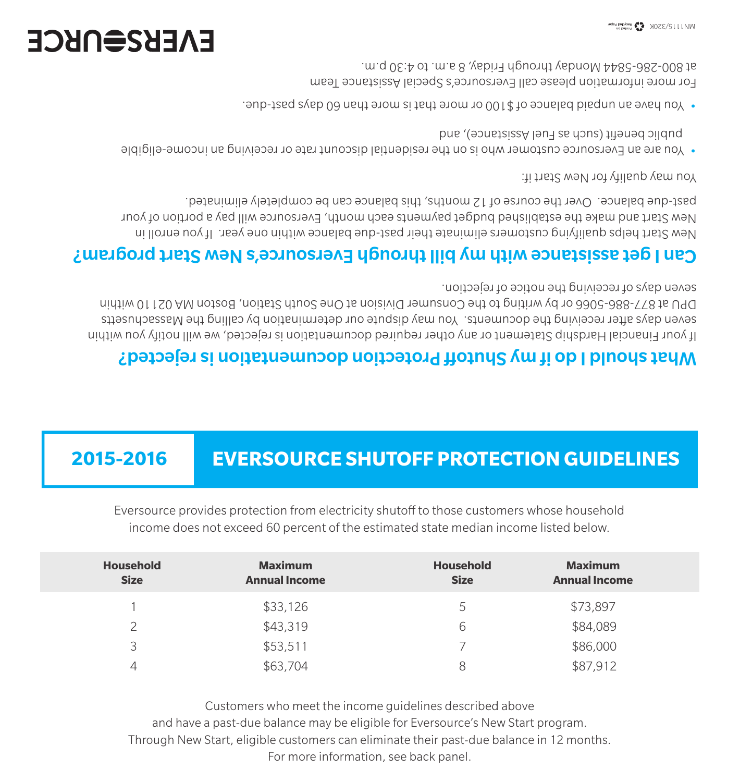Customers who meet the income guidelines described above and have a past-due balance may be eligible for Eversource's New Start program. Through New Start, eligible customers can eliminate their past-due balance in 12 months. For more information, see back panel.

| <b>Household</b><br><b>Size</b> | <b>Maximum</b><br><b>Annual Income</b> | <b>Household</b><br><b>Size</b> | <b>Maximum</b><br><b>Annual Income</b> |  |
|---------------------------------|----------------------------------------|---------------------------------|----------------------------------------|--|
|                                 | \$33,126                               | 5                               | \$73,897                               |  |
| つ                               | \$43,319                               | 6                               | \$84,089                               |  |
| 3                               | \$53,511                               |                                 | \$86,000                               |  |
| 4                               | \$63,704                               | 8                               | \$87,912                               |  |

Eversource provides protection from electricity shutoff to those customers whose household income does not exceed 60 percent of the estimated state median income listed below.

## **2015-2016 EVERSOURCE SHUTOFF PROTECTION GUIDELINES**

### What should I do if my Shutoff Protection documentation is rejected?

If your Financial Hardship Statement or any other required documentation is rejected, we will notify you within seven days after receiving the documents. You may dispute our determination by calling the Massachusetts DPU at 877-886-5066 or by writing to the Consumer Division at One South Station, Boston MA 02110 within seven days of receiving the notice of rejection.

#### Can I get assistance with my bill through Eversource's New Start program?

New Start helps qualifying customers eliminate their past-due balance within one year. If you enroll in New Start and make the established budget payments each month, Eversource will pay a portion of your past-due balance. Over the course of 12 months, this balance can be completely eliminated.

You may qualify for New Start if:

- You are an Eversource customer who is on the residential discount rate or receiving an income-eligible public benefit (such as Fuel Assistance), and
- You have an unpaid balance of \$100 or more that is more than 60 days past-due. •

For more information please call Eversource's Special Assistance Team at 800-286-5844 Monday through Friday, 8 a.m. to 4:30 p.m.

# **EVERS<del>S</del>URCE**